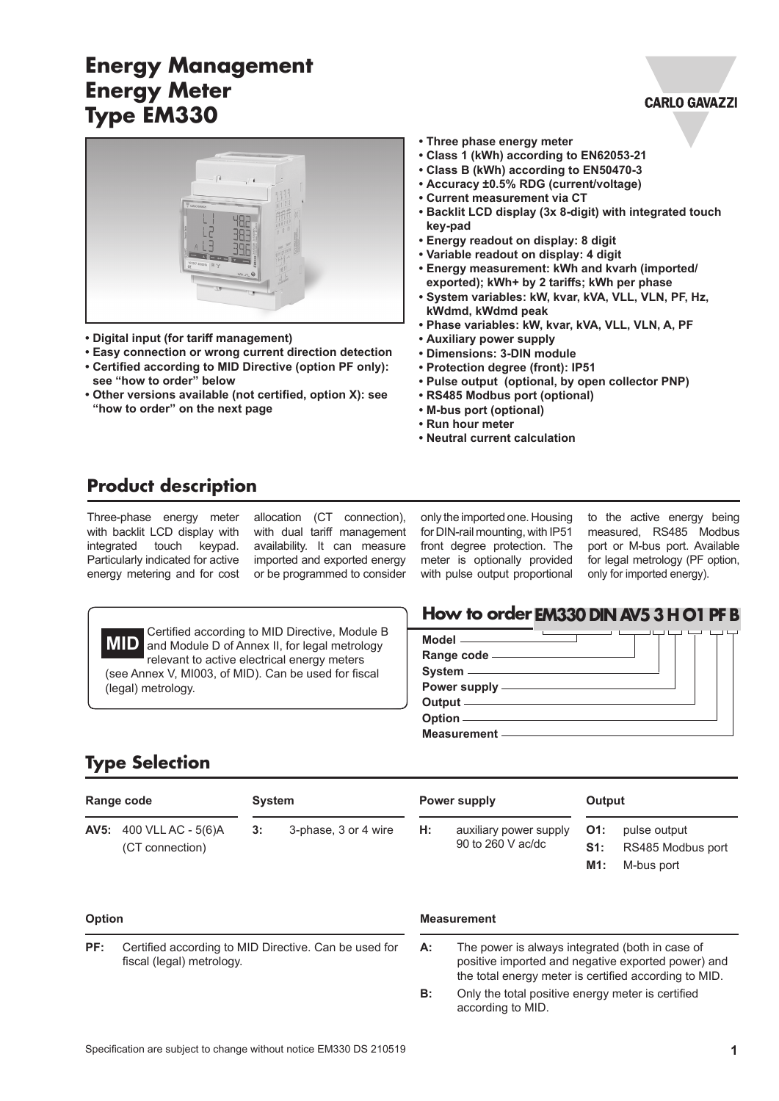# **Energy Management Energy Meter Type EM330**



- **• Digital input (for tariff management)**
- **• Easy connection or wrong current direction detection • Certified according to MID Directive (option PF only): see "how to order" below**
- **• Other versions available (not certified, option X): see "how to order" on the next page**
- **• Three phase energy meter**
- **• Class 1 (kWh) according to EN62053-21**
- **• Class B (kWh) according to EN50470-3**
- **• Accuracy ±0.5% RDG (current/voltage)**
- **• Current measurement via CT**
- **• Backlit LCD display (3x 8-digit) with integrated touch key-pad**
- **• Energy readout on display: 8 digit**
- **• Variable readout on display: 4 digit**
- **• Energy measurement: kWh and kvarh (imported/ exported); kWh+ by 2 tariffs; kWh per phase**
- **• System variables: kW, kvar, kVA, VLL, VLN, PF, Hz, kWdmd, kWdmd peak**
- **• Phase variables: kW, kvar, kVA, VLL, VLN, A, PF**
- **• Auxiliary power supply**
- **• Dimensions: 3-DIN module**
- **• Protection degree (front): IP51**
- **• Pulse output (optional, by open collector PNP)**
- **• RS485 Modbus port (optional)**
- **• M-bus port (optional)**
- **• Run hour meter**
- **• Neutral current calculation**

#### **Product description**

Three-phase energy meter with backlit LCD display with integrated touch keypad. Particularly indicated for active energy metering and for cost

allocation (CT connection), with dual tariff management availability. It can measure imported and exported energy or be programmed to consider only the imported one. Housing for DIN-rail mounting, with IP51 front degree protection. The meter is optionally provided with pulse output proportional

to the active energy being measured, RS485 Modbus port or M-bus port. Available for legal metrology (PF option, only for imported energy).

**CARLO GAVAZZI** 



 Certified according to MID Directive, Module B and Module D of Annex II, for legal metrology relevant to active electrical energy meters (see Annex V, MI003, of MID). Can be used for fiscal (legal) metrology.

#### **How to order EM330 DIN AV5 3 H O1 PF B**

| System ———————————                              |  |
|-------------------------------------------------|--|
| Power supply - The Contract of the Power supply |  |
| Output _____________                            |  |
| Option —                                        |  |
| Measurement —————                               |  |

#### **Type Selection**

| Range code |                                                   |    | System               |    | Power supply                                |                      | Output                                          |  |
|------------|---------------------------------------------------|----|----------------------|----|---------------------------------------------|----------------------|-------------------------------------------------|--|
|            | <b>AV5:</b> 400 VLL AC - 5(6)A<br>(CT connection) | 3: | 3-phase, 3 or 4 wire | Н: | auxiliary power supply<br>90 to 260 V ac/dc | $O1$ :<br>S1:<br>M1: | pulse output<br>RS485 Modbus port<br>M-bus port |  |

#### **Option**

**PF:** Certified according to MID Directive. Can be used for fiscal (legal) metrology.

#### **Measurement**

**A:** The power is always integrated (both in case of positive imported and negative exported power) and the total energy meter is certified according to MID.

**B:** Only the total positive energy meter is certified according to MID.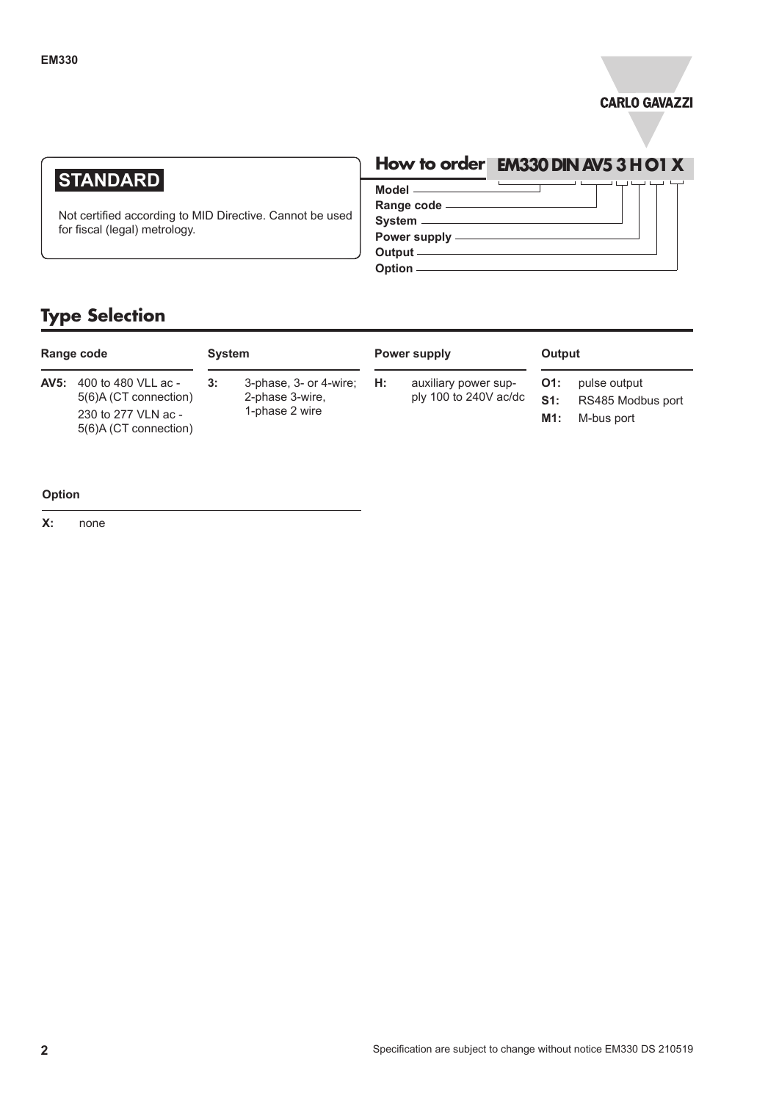

### **STANDARD**

Not certified according to MID Directive. Cannot be used for fiscal (legal) metrology.

### **How to order EM330 DIN AV5 3 H O1 X**

┑

 $\overline{L}$ 

**Model Range code System Power supply Output**

**Option**

### **Type Selection**

| Range code |                                                                                              | <b>System</b> |                                                                      | Power supply |                                                 | Output               |                                                 |
|------------|----------------------------------------------------------------------------------------------|---------------|----------------------------------------------------------------------|--------------|-------------------------------------------------|----------------------|-------------------------------------------------|
| AV5:       | 400 to 480 VLL ac -<br>5(6)A (CT connection)<br>230 to 277 VLN ac -<br>5(6)A (CT connection) | 3:            | 3-phase, $3$ - or 4-wire; $H$ :<br>2-phase 3-wire,<br>1-phase 2 wire |              | auxiliary power sup-<br>ply 100 to $240V$ ac/dc | O1:<br>$S1$ :<br>M1: | pulse output<br>RS485 Modbus port<br>M-bus port |

#### **Option**

**X:** none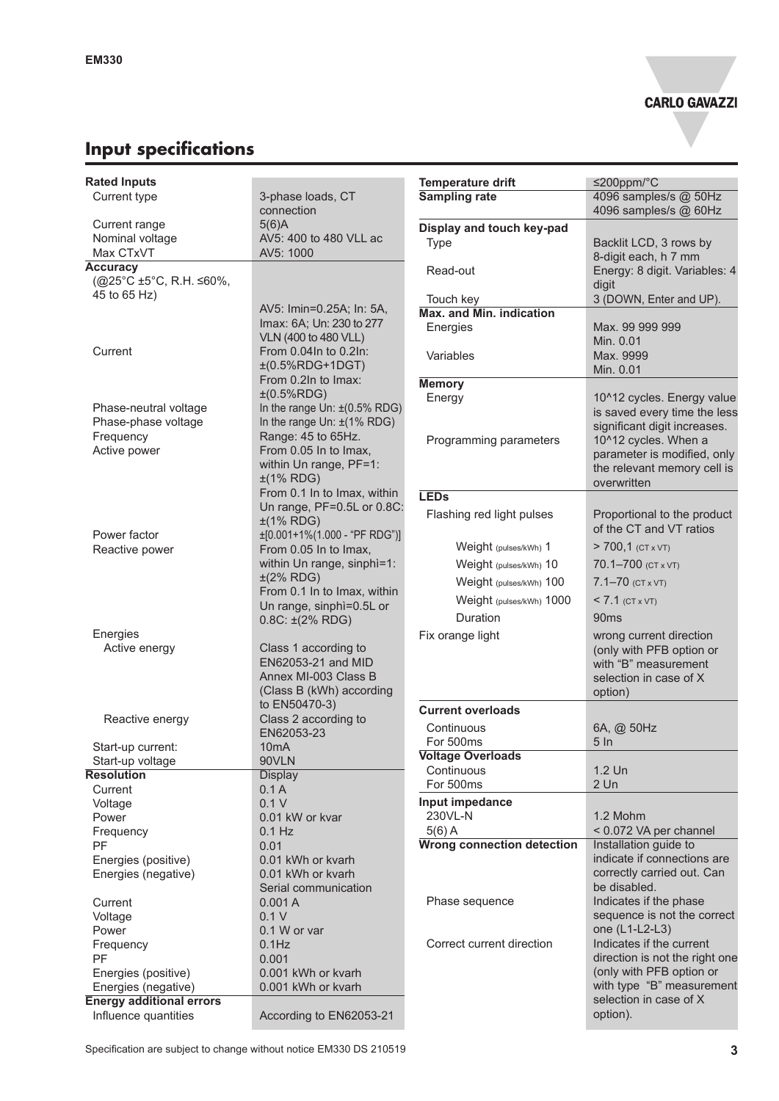# **Input specifications**

| <b>Rated Inputs</b>             |                                                  | <b>Temperature drift</b>          | $≤200$ ppm/°C                  |
|---------------------------------|--------------------------------------------------|-----------------------------------|--------------------------------|
| Current type                    | 3-phase loads, CT                                | <b>Sampling rate</b>              | 4096 samples/s @ 50Hz          |
|                                 | connection                                       |                                   | 4096 samples/s @ 60Hz          |
| Current range                   | $5(6)$ A                                         | Display and touch key-pad         |                                |
| Nominal voltage                 | AV5: 400 to 480 VLL ac                           | Type                              | Backlit LCD, 3 rows by         |
| Max CTxVT                       | AV5: 1000                                        |                                   | 8-digit each, h 7 mm           |
| <b>Accuracy</b>                 |                                                  | Read-out                          | Energy: 8 digit. Variables: 4  |
| (@25°C ±5°C, R.H. ≤60%,         |                                                  |                                   | digit                          |
| 45 to 65 Hz)                    |                                                  | Touch key                         | 3 (DOWN, Enter and UP).        |
|                                 | AV5: Imin=0.25A; In: 5A,                         | Max. and Min. indication          |                                |
|                                 | Imax: 6A; Un: 230 to 277<br>VLN (400 to 480 VLL) | Energies                          | Max. 99 999 999                |
| Current                         | From 0.04In to 0.2In:                            |                                   | Min. 0.01                      |
|                                 | $±(0.5%RDG+1DGT)$                                | Variables                         | Max. 9999                      |
|                                 | From 0.2In to Imax:                              |                                   | Min. 0.01                      |
|                                 | ±(0.5%RDG)                                       | <b>Memory</b>                     |                                |
| Phase-neutral voltage           | In the range Un: $\pm$ (0.5% RDG)                | Energy                            | 10^12 cycles. Energy value     |
| Phase-phase voltage             | In the range Un: ±(1% RDG)                       |                                   | is saved every time the less   |
| Frequency                       | Range: 45 to 65Hz.                               |                                   | significant digit increases.   |
| Active power                    | From 0.05 In to Imax,                            | Programming parameters            | 10^12 cycles. When a           |
|                                 | within Un range, PF=1:                           |                                   | parameter is modified, only    |
|                                 | $\pm$ (1% RDG)                                   |                                   | the relevant memory cell is    |
|                                 | From 0.1 In to Imax, within                      | <b>LEDs</b>                       | overwritten                    |
|                                 | Un range, PF=0.5L or 0.8C:                       |                                   |                                |
|                                 | $±(1\%$ RDG)                                     | Flashing red light pulses         | Proportional to the product    |
| Power factor                    | $\pm$ [0.001+1%(1.000 - "PF RDG")]               |                                   | of the CT and VT ratios        |
| Reactive power                  | From 0.05 In to Imax,                            | Weight (pulses/kWh) 1             | $> 700,1$ (CT x VT)            |
|                                 | within Un range, sinphì=1:                       | Weight (pulses/kWh) 10            | 70.1-700 (CT x VT)             |
|                                 | $\pm$ (2% RDG)                                   | Weight (pulses/kWh) 100           | $7.1 - 70$ (CT x VT)           |
|                                 | From 0.1 In to Imax, within                      |                                   |                                |
|                                 | Un range, sinphì=0.5L or                         | Weight (pulses/kWh) 1000          | $< 7.1$ (CT x VT)              |
|                                 | $0.8C: \pm (2\% \text{ RDG})$                    | Duration                          | 90 <sub>ms</sub>               |
| Energies                        |                                                  | Fix orange light                  | wrong current direction        |
| Active energy                   | Class 1 according to                             |                                   | (only with PFB option or       |
|                                 | EN62053-21 and MID                               |                                   | with "B" measurement           |
|                                 | Annex MI-003 Class B                             |                                   | selection in case of X         |
|                                 | (Class B (kWh) according                         |                                   | option)                        |
|                                 | to EN50470-3)                                    | <b>Current overloads</b>          |                                |
| Reactive energy                 | Class 2 according to                             | Continuous                        | 6A, @ 50Hz                     |
| Start-up current:               | EN62053-23<br>10mA                               | For 500ms                         | 5 <sub>ln</sub>                |
| Start-up voltage                | 90VLN                                            | <b>Voltage Overloads</b>          |                                |
| <b>Resolution</b>               | <b>Display</b>                                   | Continuous                        | 1.2 Un                         |
| Current                         | 0.1A                                             | For 500ms                         | $2$ Un                         |
| Voltage                         | 0.1V                                             | Input impedance                   |                                |
| Power                           | 0.01 kW or kvar                                  | 230VL-N                           | 1.2 Mohm                       |
| Frequency                       | $0.1$ Hz                                         | $5(6)$ A                          | < 0.072 VA per channel         |
| PF                              | 0.01                                             | <b>Wrong connection detection</b> | Installation guide to          |
| Energies (positive)             | 0.01 kWh or kvarh                                |                                   | indicate if connections are    |
| Energies (negative)             | 0.01 kWh or kvarh                                |                                   | correctly carried out. Can     |
|                                 | Serial communication                             |                                   | be disabled.                   |
| Current                         | 0.001A                                           | Phase sequence                    | Indicates if the phase         |
| Voltage                         | 0.1V                                             |                                   | sequence is not the correct    |
| Power                           | 0.1 W or var                                     |                                   | one (L1-L2-L3)                 |
| Frequency                       | $0.1$ Hz                                         | Correct current direction         | Indicates if the current       |
| PF                              | 0.001                                            |                                   | direction is not the right one |
| Energies (positive)             | 0.001 kWh or kvarh                               |                                   | (only with PFB option or       |
| Energies (negative)             | 0.001 kWh or kvarh                               |                                   | with type "B" measurement      |
| <b>Energy additional errors</b> |                                                  |                                   | selection in case of X         |
| Influence quantities            | According to EN62053-21                          |                                   | option).                       |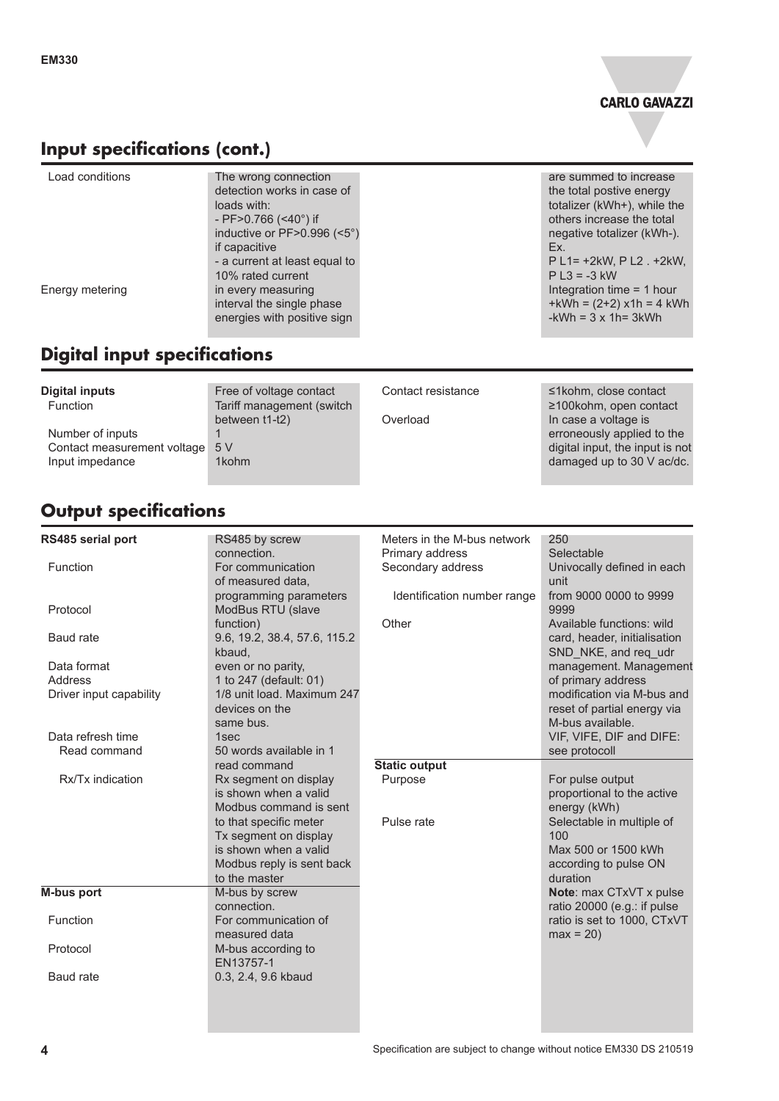

### **Input specifications (cont.)**

| Load conditions | The wrong connection<br>detection works in case of<br>loads with:<br>- PF $>0.766$ (<40°) if<br>inductive or PF>0.996 (<5°)<br>if capacitive<br>- a current at least equal to<br>10% rated current | are summed to increase<br>the total postive energy<br>totalizer (kWh+), while the<br>others increase the total<br>negative totalizer (kWh-).<br>Ex.<br>P L1= +2kW, P L2 . +2kW,<br>$P L3 = -3 kW$ |
|-----------------|----------------------------------------------------------------------------------------------------------------------------------------------------------------------------------------------------|---------------------------------------------------------------------------------------------------------------------------------------------------------------------------------------------------|
| Energy metering | in every measuring<br>interval the single phase<br>energies with positive sign                                                                                                                     | Integration time = 1 hour<br>$+kWh = (2+2) x1h = 4 kWh$<br>$-kWh = 3 \times 1h = 3kWh$                                                                                                            |

# **Digital input specifications**

| <b>Digital inputs</b><br><b>Function</b> | Free of voltage contact<br>Tariff management (switch | Contact resistance | $\leq$ 1 kohm, close contact<br>$\geq$ 100kohm, open contact |
|------------------------------------------|------------------------------------------------------|--------------------|--------------------------------------------------------------|
| Number of inputs                         | between t1-t2)                                       | Overload           | In case a voltage is<br>erroneously applied to the           |
| Contact measurement voltage 5 V          |                                                      |                    | digital input, the input is not                              |
| Input impedance                          | 1kohm                                                |                    | damaged up to 30 V ac/dc.                                    |

# **Output specifications**

| <b>RS485 serial port</b>          | RS485 by screw                                                                                                         | Meters in the M-bus network | 250                                                                                          |
|-----------------------------------|------------------------------------------------------------------------------------------------------------------------|-----------------------------|----------------------------------------------------------------------------------------------|
|                                   | connection.                                                                                                            | Primary address             | Selectable                                                                                   |
| Function                          | For communication<br>of measured data,                                                                                 | Secondary address           | Univocally defined in each<br>unit                                                           |
| Protocol                          | programming parameters<br>ModBus RTU (slave                                                                            | Identification number range | from 9000 0000 to 9999<br>9999                                                               |
| <b>Baud</b> rate                  | function)<br>9.6, 19.2, 38.4, 57.6, 115.2<br>kbaud,                                                                    | Other                       | Available functions: wild<br>card, header, initialisation<br>SND NKE, and req udr            |
| Data format<br>Address            | even or no parity,<br>1 to 247 (default: 01)                                                                           |                             | management. Management<br>of primary address<br>modification via M-bus and                   |
| Driver input capability           | 1/8 unit load. Maximum 247<br>devices on the<br>same bus.                                                              |                             | reset of partial energy via<br>M-bus available.                                              |
| Data refresh time<br>Read command | 1sec<br>50 words available in 1                                                                                        |                             | VIF, VIFE, DIF and DIFE:<br>see protocoll                                                    |
|                                   | read command                                                                                                           | <b>Static output</b>        |                                                                                              |
| Rx/Tx indication                  | Rx segment on display<br>is shown when a valid<br>Modbus command is sent                                               | Purpose                     | For pulse output<br>proportional to the active<br>energy (kWh)                               |
|                                   | to that specific meter<br>Tx segment on display<br>is shown when a valid<br>Modbus reply is sent back<br>to the master | Pulse rate                  | Selectable in multiple of<br>100<br>Max 500 or 1500 kWh<br>according to pulse ON<br>duration |
| M-bus port                        | M-bus by screw<br>connection.                                                                                          |                             | Note: max CTxVT x pulse<br>ratio 20000 (e.g.: if pulse                                       |
| <b>Function</b>                   | For communication of<br>measured data                                                                                  |                             | ratio is set to 1000, CTxVT<br>$max = 20$                                                    |
| Protocol                          | M-bus according to<br>EN13757-1                                                                                        |                             |                                                                                              |
| Baud rate                         | 0.3, 2.4, 9.6 kbaud                                                                                                    |                             |                                                                                              |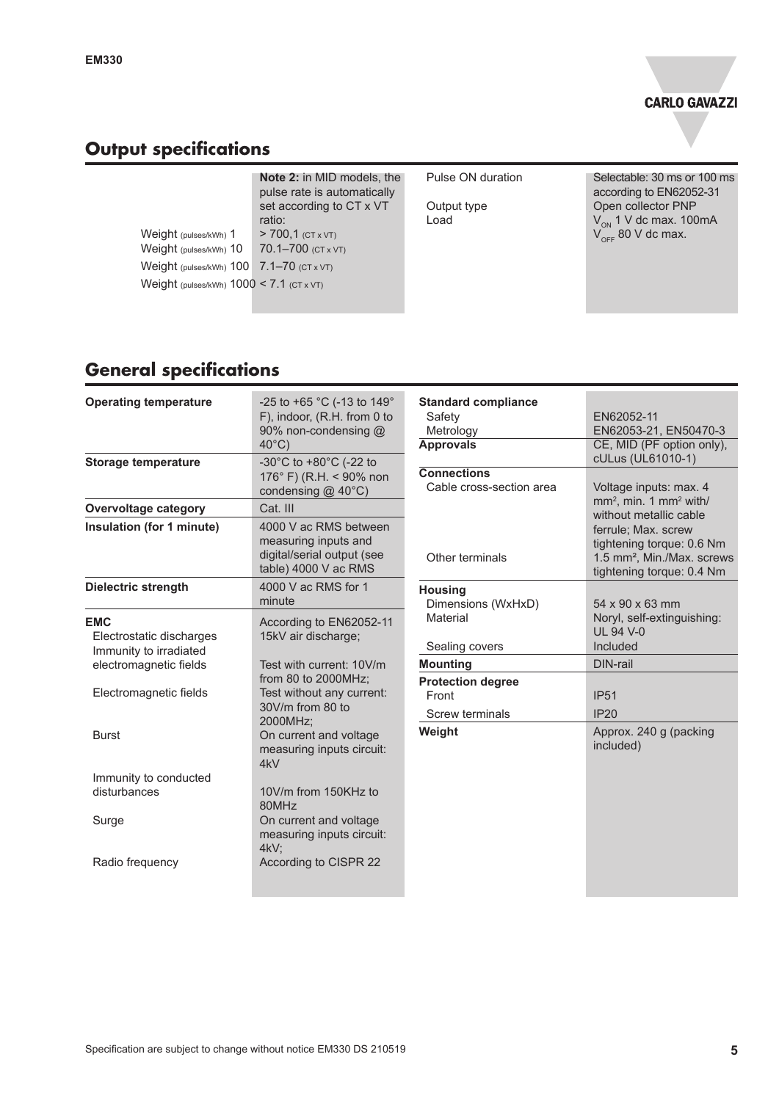# **Output specifications**

|                                                                                                                                                 | <b>Note 2:</b> in MID models, the<br>pulse rate is automatically                       | Pulse ON duration   | Selectable: 30 ms or 100 ms<br>according to EN62052-31                                   |
|-------------------------------------------------------------------------------------------------------------------------------------------------|----------------------------------------------------------------------------------------|---------------------|------------------------------------------------------------------------------------------|
| Weight (pulses/kWh) 1<br>Weight (pulses/kWh) 10<br>Weight (pulses/kWh) $100$ $7.1 - 70$ (CT x VT)<br>Weight (pulses/kWh) $1000 < 7.1$ (CT x VT) | set according to CT x VT<br>ratio:<br>$> 700.1$ (CT x VT)<br>70.1-700 $(CT \times VT)$ | Output type<br>Load | Open collector PNP<br>$V_{\text{ON}}$ 1 V dc max. 100mA<br>$V_{\text{OFF}}$ 80 V dc max. |
|                                                                                                                                                 |                                                                                        |                     |                                                                                          |

# **General specifications**

| <b>Operating temperature</b>                                     | -25 to +65 °C (-13 to 149°<br>F), indoor, (R.H. from 0 to<br>90% non-condensing @<br>$40^{\circ}$ C) | <b>Standard compliance</b><br>Safety<br>Metrology<br><b>Approvals</b> | EN62052-11<br>EN62053-21, EN50470-3<br>CE, MID (PF option only),                                                        |
|------------------------------------------------------------------|------------------------------------------------------------------------------------------------------|-----------------------------------------------------------------------|-------------------------------------------------------------------------------------------------------------------------|
| <b>Storage temperature</b>                                       | -30°C to +80°C (-22 to<br>176° F) (R.H. < 90% non<br>condensing @ 40°C)                              | <b>Connections</b><br>Cable cross-section area                        | cULus (UL61010-1)<br>Voltage inputs: max. 4                                                                             |
| <b>Overvoltage category</b>                                      | Cat. III                                                                                             |                                                                       | mm <sup>2</sup> , min. 1 mm <sup>2</sup> with/<br>without metallic cable                                                |
| Insulation (for 1 minute)                                        | 4000 V ac RMS between<br>measuring inputs and<br>digital/serial output (see<br>table) 4000 V ac RMS  | Other terminals                                                       | ferrule; Max. screw<br>tightening torque: 0.6 Nm<br>1.5 mm <sup>2</sup> , Min./Max. screws<br>tightening torque: 0.4 Nm |
| <b>Dielectric strength</b>                                       | 4000 V ac RMS for 1<br>minute                                                                        | <b>Housing</b><br>Dimensions (WxHxD)                                  | 54 x 90 x 63 mm                                                                                                         |
| <b>EMC</b><br>Electrostatic discharges<br>Immunity to irradiated | According to EN62052-11<br>15kV air discharge;                                                       | Material<br>Sealing covers                                            | Noryl, self-extinguishing:<br><b>UL 94 V-0</b><br>Included                                                              |
| electromagnetic fields                                           | Test with current: 10V/m                                                                             | <b>Mounting</b>                                                       | DIN-rail                                                                                                                |
| Electromagnetic fields                                           | from 80 to 2000MHz;<br>Test without any current:<br>30V/m from 80 to                                 | <b>Protection degree</b><br>Front<br><b>Screw terminals</b>           | <b>IP51</b><br>IP20                                                                                                     |
| <b>Burst</b>                                                     | 2000MHz;<br>On current and voltage<br>measuring inputs circuit:<br>4kV                               | Weight                                                                | Approx. 240 g (packing<br>included)                                                                                     |
| Immunity to conducted<br>disturbances                            | 10V/m from 150KHz to<br>80MHz                                                                        |                                                                       |                                                                                                                         |
| Surge                                                            | On current and voltage<br>measuring inputs circuit:<br>$4kV$ ;                                       |                                                                       |                                                                                                                         |
| Radio frequency                                                  | According to CISPR 22                                                                                |                                                                       |                                                                                                                         |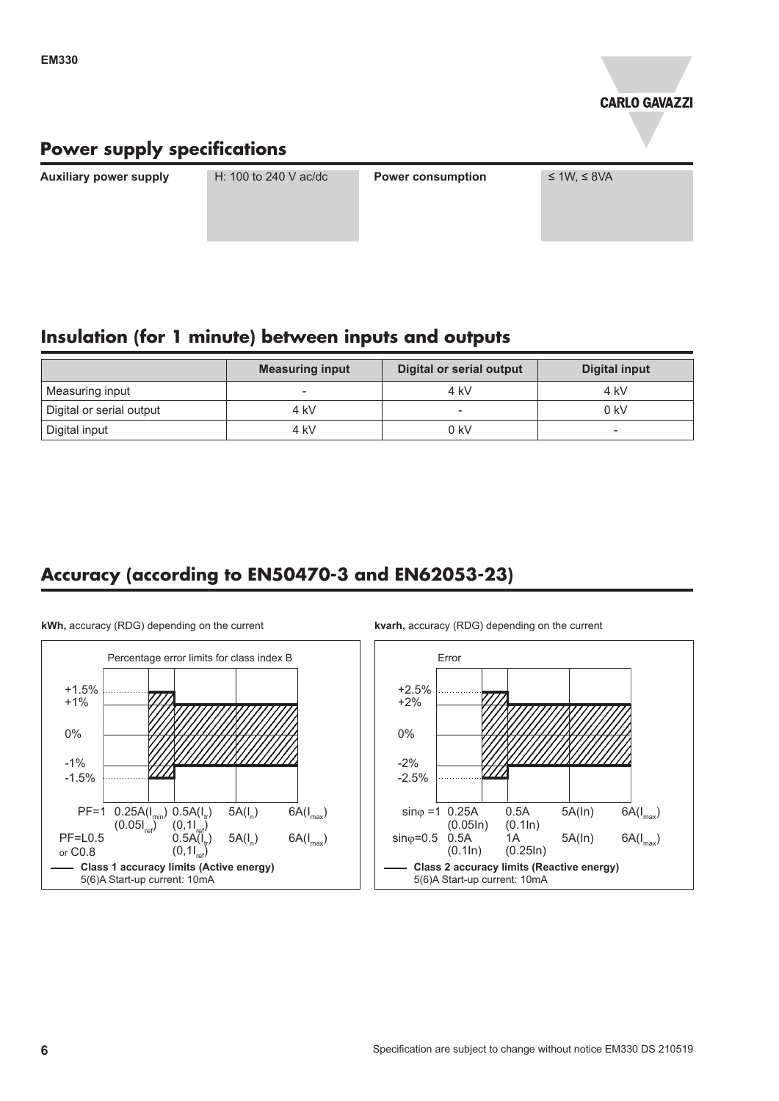

### **Power supply specifications**

**Auxiliary power supply** H: 100 to 240 V ac/dc **Power consumption** ≤ 1W, ≤ 8VA

### **Insulation (for 1 minute) between inputs and outputs**

|                          | <b>Measuring input</b> | <b>Digital or serial output</b> | Digital input |
|--------------------------|------------------------|---------------------------------|---------------|
| Measuring input          | $\sim$                 | 4 kV                            | 4 kV          |
| Digital or serial output | 4 kV                   |                                 | $0$ kV        |
| Digital input            | 4 kV                   | $0$ kV                          | -             |

### **Accuracy (according to EN50470-3 and EN62053-23)**



**kWh,** accuracy (RDG) depending on the current

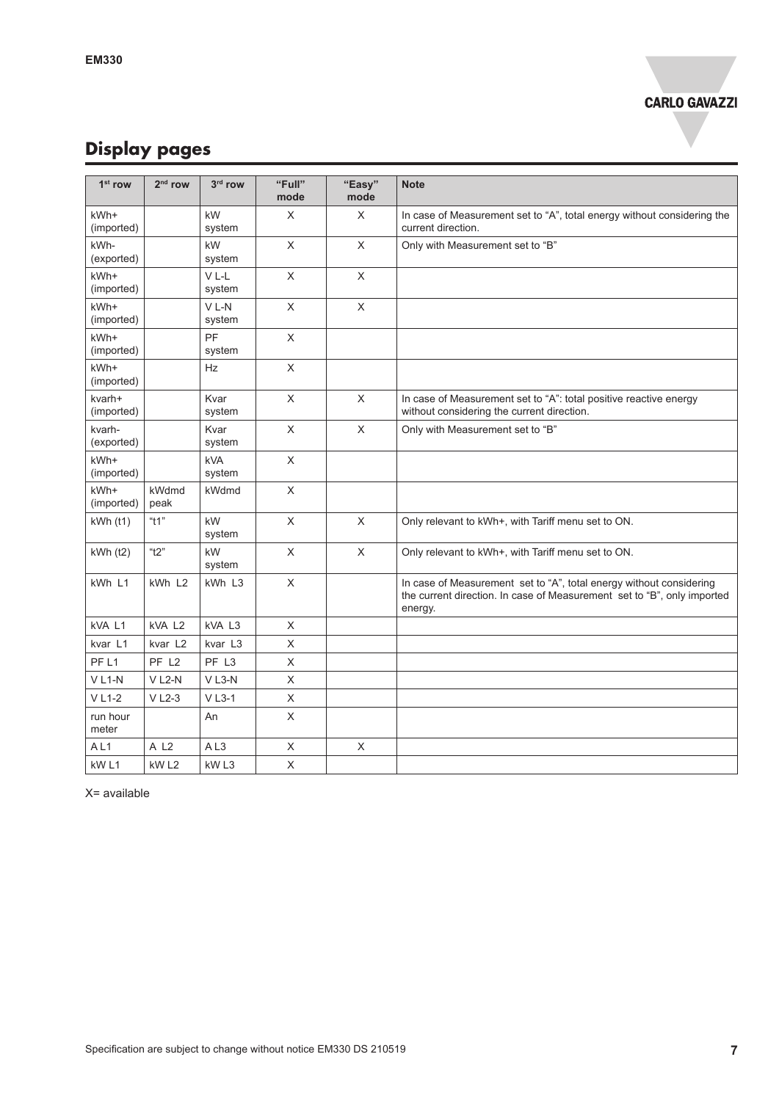# **Display pages**

| $1st$ row            | $2nd$ row             | 3rd row               | "Full"<br>mode            | "Easy"<br>mode            | <b>Note</b>                                                                                                                                               |
|----------------------|-----------------------|-----------------------|---------------------------|---------------------------|-----------------------------------------------------------------------------------------------------------------------------------------------------------|
| kWh+<br>(imported)   |                       | kW<br>system          | X                         | $\times$                  | In case of Measurement set to "A", total energy without considering the<br>current direction.                                                             |
| kWh-<br>(exported)   |                       | kW<br>system          | $\times$                  | $\times$                  | Only with Measurement set to "B"                                                                                                                          |
| kWh+<br>(imported)   |                       | VL-L<br>system        | $\mathsf X$               | $\boldsymbol{\mathsf{X}}$ |                                                                                                                                                           |
| kWh+<br>(imported)   |                       | $V L-N$<br>system     | $\mathsf X$               | $\boldsymbol{\mathsf{X}}$ |                                                                                                                                                           |
| kWh+<br>(imported)   |                       | PF<br>system          | $\mathsf X$               |                           |                                                                                                                                                           |
| kWh+<br>(imported)   |                       | Hz                    | $\mathsf X$               |                           |                                                                                                                                                           |
| kvarh+<br>(imported) |                       | Kvar<br>system        | $\mathsf X$               | $\times$                  | In case of Measurement set to "A": total positive reactive energy<br>without considering the current direction.                                           |
| kvarh-<br>(exported) |                       | Kvar<br>system        | $\times$                  | $\times$                  | Only with Measurement set to "B"                                                                                                                          |
| kWh+<br>(imported)   |                       | <b>kVA</b><br>system  | $\mathsf X$               |                           |                                                                                                                                                           |
| kWh+<br>(imported)   | kWdmd<br>peak         | kWdmd                 | $\mathsf X$               |                           |                                                                                                                                                           |
| kWh (t1)             | " $t1$ "              | kW<br>system          | $\times$                  | $\times$                  | Only relevant to kWh+, with Tariff menu set to ON.                                                                                                        |
| kWh (t2)             | " $t2$ "              | kW<br>system          | $\mathsf X$               | $\mathsf{X}$              | Only relevant to kWh+, with Tariff menu set to ON.                                                                                                        |
| kWh L1               | kWh L2                | kWh L3                | $\times$                  |                           | In case of Measurement set to "A", total energy without considering<br>the current direction. In case of Measurement set to "B", only imported<br>energy. |
| kVA L1               | kVA L2                | kVA L3                | X                         |                           |                                                                                                                                                           |
| kvar L1              | kvar L <sub>2</sub>   | kvar L3               | $\mathsf X$               |                           |                                                                                                                                                           |
| PF <sub>L1</sub>     | PF L <sub>2</sub>     | PF L3                 | $\mathsf X$               |                           |                                                                                                                                                           |
| $V L1-N$             | $V$ L <sub>2</sub> -N | $V$ L3-N              | X                         |                           |                                                                                                                                                           |
| $V L1-2$             | $V$ L <sub>2</sub> -3 | $V$ L <sub>3</sub> -1 | $\times$                  |                           |                                                                                                                                                           |
| run hour<br>meter    |                       | An                    | $\times$                  |                           |                                                                                                                                                           |
| AL1                  | A L <sub>2</sub>      | AL3                   | $\boldsymbol{\mathsf{X}}$ | X                         |                                                                                                                                                           |
| kW <sub>L1</sub>     | kW <sub>L2</sub>      | kW <sub>L3</sub>      | $\times$                  |                           |                                                                                                                                                           |

X= available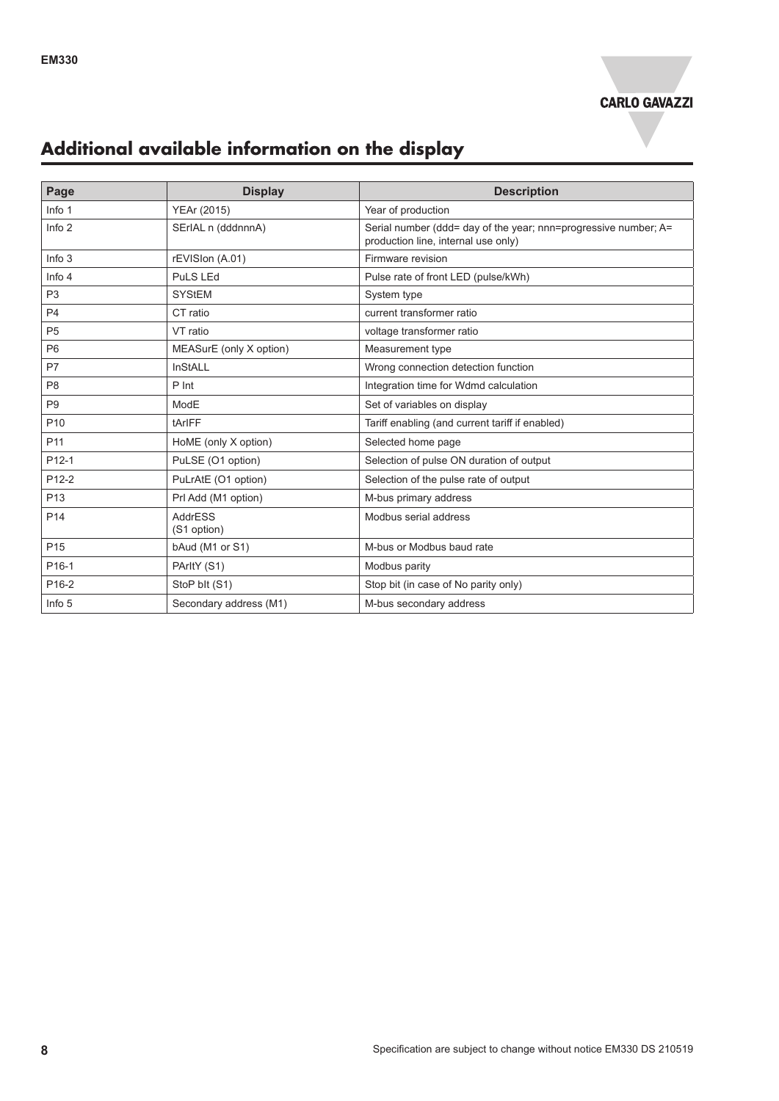

# **Additional available information on the display**

| Page              | <b>Display</b>                | <b>Description</b>                                                                                     |
|-------------------|-------------------------------|--------------------------------------------------------------------------------------------------------|
| Info 1            | YEAr (2015)                   | Year of production                                                                                     |
| Info 2            | SErIAL n (dddnnnA)            | Serial number (ddd= day of the year; nnn=progressive number; A=<br>production line, internal use only) |
| Info <sub>3</sub> | rEVISIon (A.01)               | Firmware revision                                                                                      |
| Info $4$          | PuLS LEd                      | Pulse rate of front LED (pulse/kWh)                                                                    |
| P <sub>3</sub>    | <b>SYStEM</b>                 | System type                                                                                            |
| P <sub>4</sub>    | CT ratio                      | current transformer ratio                                                                              |
| P <sub>5</sub>    | VT ratio                      | voltage transformer ratio                                                                              |
| P <sub>6</sub>    | MEASurE (only X option)       | Measurement type                                                                                       |
| P7                | <b>InStALL</b>                | Wrong connection detection function                                                                    |
| P <sub>8</sub>    | P Int                         | Integration time for Wdmd calculation                                                                  |
| P <sub>9</sub>    | ModE                          | Set of variables on display                                                                            |
| P <sub>10</sub>   | tArIFF                        | Tariff enabling (and current tariff if enabled)                                                        |
| P <sub>11</sub>   | HoME (only X option)          | Selected home page                                                                                     |
| P <sub>12-1</sub> | PuLSE (O1 option)             | Selection of pulse ON duration of output                                                               |
| P <sub>12-2</sub> | PuLrAtE (O1 option)           | Selection of the pulse rate of output                                                                  |
| P <sub>13</sub>   | Prl Add (M1 option)           | M-bus primary address                                                                                  |
| P <sub>14</sub>   | <b>AddrESS</b><br>(S1 option) | Modbus serial address                                                                                  |
| P <sub>15</sub>   | bAud (M1 or S1)               | M-bus or Modbus baud rate                                                                              |
| P <sub>16-1</sub> | PArltY (S1)                   | Modbus parity                                                                                          |
| P <sub>16-2</sub> | StoP blt (S1)                 | Stop bit (in case of No parity only)                                                                   |
| Info 5            | Secondary address (M1)        | M-bus secondary address                                                                                |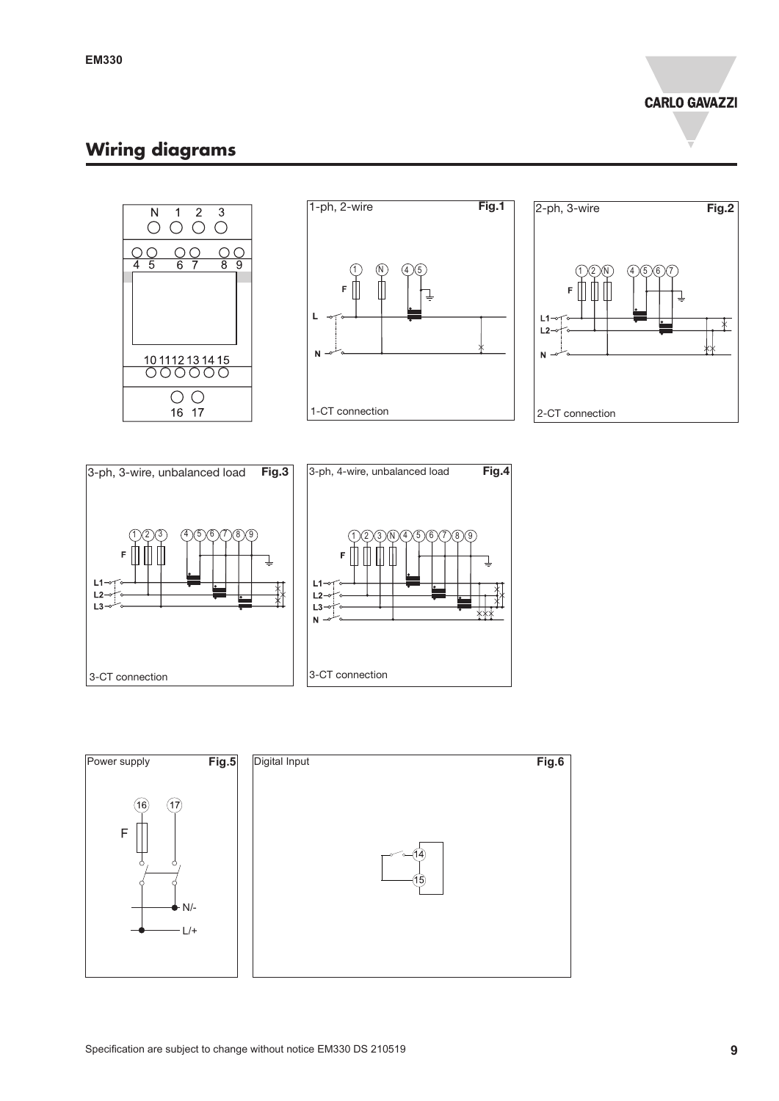### **Wiring diagrams**









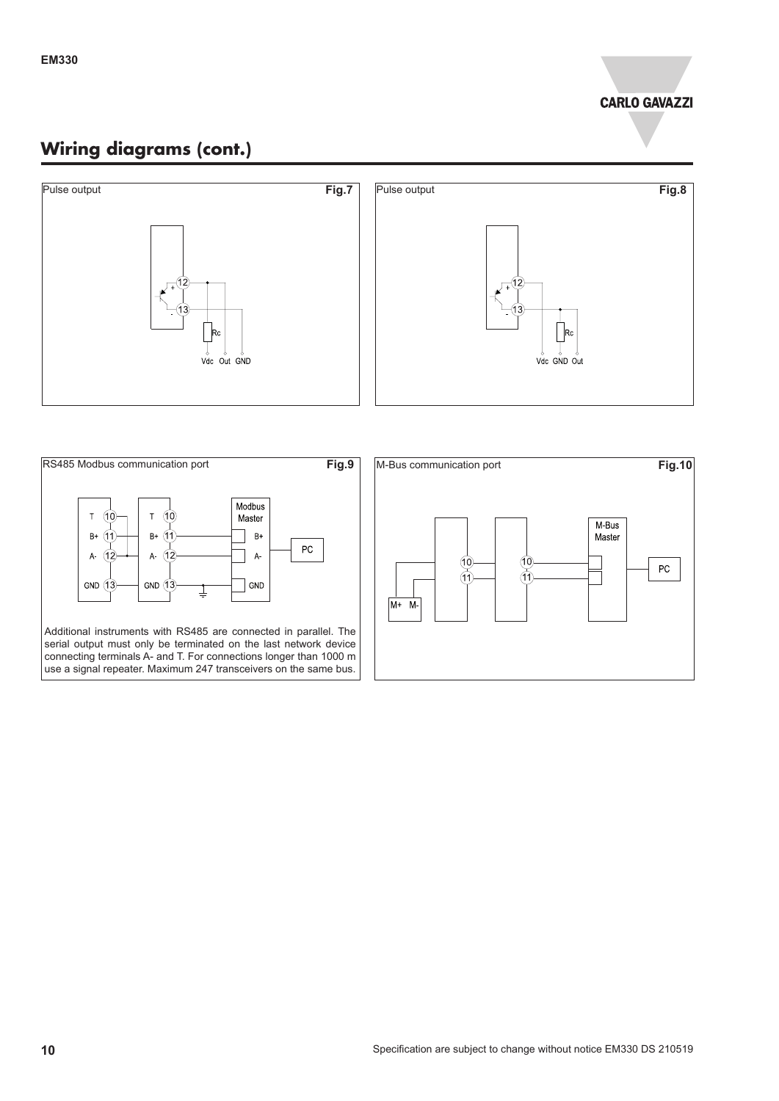### **Wiring diagrams (cont.)**